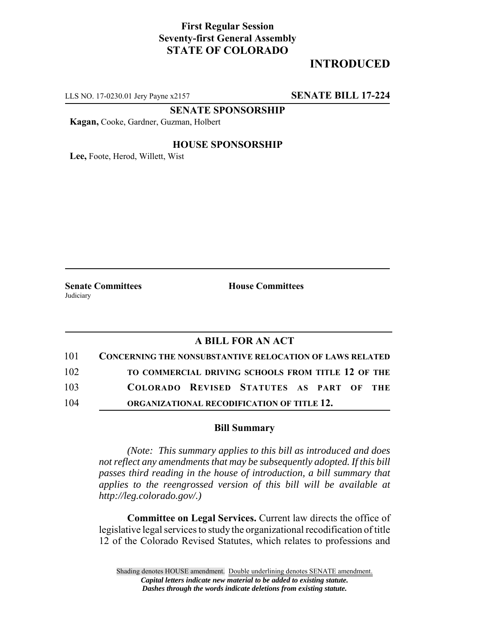## **First Regular Session Seventy-first General Assembly STATE OF COLORADO**

# **INTRODUCED**

LLS NO. 17-0230.01 Jery Payne x2157 **SENATE BILL 17-224**

**SENATE SPONSORSHIP**

**Kagan,** Cooke, Gardner, Guzman, Holbert

### **HOUSE SPONSORSHIP**

**Lee,** Foote, Herod, Willett, Wist

**Judiciary** 

**Senate Committees House Committees** 

### **A BILL FOR AN ACT**

| 101 | <b>CONCERNING THE NONSUBSTANTIVE RELOCATION OF LAWS RELATED</b> |  |
|-----|-----------------------------------------------------------------|--|
| 102 | TO COMMERCIAL DRIVING SCHOOLS FROM TITLE 12 OF THE              |  |
| 103 | COLORADO REVISED STATUTES AS PART OF THE                        |  |
| 104 | ORGANIZATIONAL RECODIFICATION OF TITLE 12.                      |  |

#### **Bill Summary**

*(Note: This summary applies to this bill as introduced and does not reflect any amendments that may be subsequently adopted. If this bill passes third reading in the house of introduction, a bill summary that applies to the reengrossed version of this bill will be available at http://leg.colorado.gov/.)*

**Committee on Legal Services.** Current law directs the office of legislative legal services to study the organizational recodification of title 12 of the Colorado Revised Statutes, which relates to professions and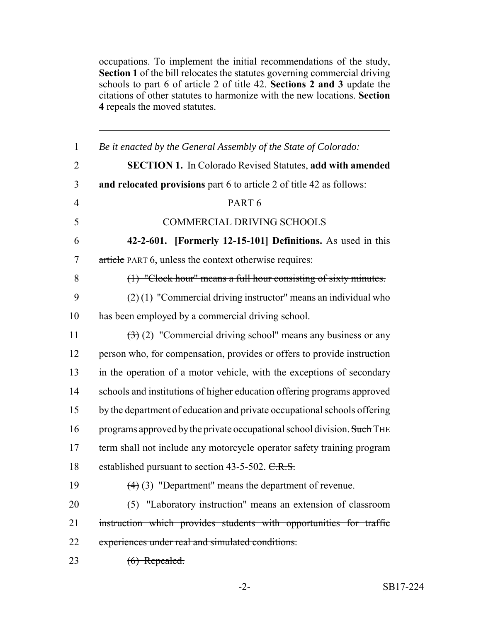occupations. To implement the initial recommendations of the study, **Section 1** of the bill relocates the statutes governing commercial driving schools to part 6 of article 2 of title 42. **Sections 2 and 3** update the citations of other statutes to harmonize with the new locations. **Section** repeals the moved statutes.

| $\mathbf{1}$   | Be it enacted by the General Assembly of the State of Colorado:                      |
|----------------|--------------------------------------------------------------------------------------|
| $\overline{2}$ | <b>SECTION 1.</b> In Colorado Revised Statutes, add with amended                     |
| 3              | and relocated provisions part 6 to article 2 of title 42 as follows:                 |
| $\overline{4}$ | PART <sub>6</sub>                                                                    |
| 5              | <b>COMMERCIAL DRIVING SCHOOLS</b>                                                    |
| 6              | 42-2-601. [Formerly 12-15-101] Definitions. As used in this                          |
| 7              | article PART 6, unless the context otherwise requires:                               |
| 8              | (1) "Clock hour" means a full hour consisting of sixty minutes.                      |
| 9              | $(2)(1)$ "Commercial driving instructor" means an individual who                     |
| 10             | has been employed by a commercial driving school.                                    |
| 11             | $\left(\frac{1}{2}\right)$ (2) "Commercial driving school" means any business or any |
| 12             | person who, for compensation, provides or offers to provide instruction              |
| 13             | in the operation of a motor vehicle, with the exceptions of secondary                |
| 14             | schools and institutions of higher education offering programs approved              |
| 15             | by the department of education and private occupational schools offering             |
| 16             | programs approved by the private occupational school division. Such THE              |
| 17             | term shall not include any motorcycle operator safety training program               |
| 18             | established pursuant to section 43-5-502. C.R.S.                                     |
| 19             | $(4)$ (3) "Department" means the department of revenue.                              |
| 20             | (5) "Laboratory instruction" means an extension of classroom                         |
| 21             | instruction which provides students with opportunities for traffic                   |
| 22             | experiences under real and simulated conditions.                                     |
| 23             | $(6)$ Repealed.                                                                      |
|                |                                                                                      |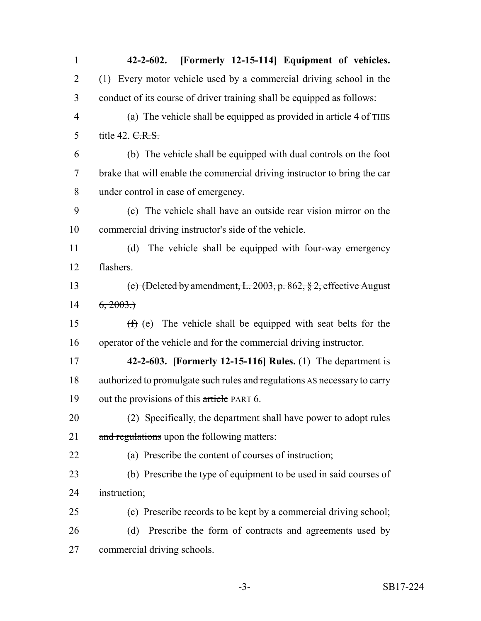| $\mathbf{1}$   | [Formerly 12-15-114] Equipment of vehicles.<br>$42 - 2 - 602$ .           |
|----------------|---------------------------------------------------------------------------|
| $\overline{2}$ | (1) Every motor vehicle used by a commercial driving school in the        |
| 3              | conduct of its course of driver training shall be equipped as follows:    |
| $\overline{4}$ | (a) The vehicle shall be equipped as provided in article 4 of THIS        |
| 5              | title 42. C.R.S.                                                          |
| 6              | (b) The vehicle shall be equipped with dual controls on the foot          |
| $\overline{7}$ | brake that will enable the commercial driving instructor to bring the car |
| 8              | under control in case of emergency.                                       |
| 9              | (c) The vehicle shall have an outside rear vision mirror on the           |
| 10             | commercial driving instructor's side of the vehicle.                      |
| 11             | The vehicle shall be equipped with four-way emergency<br>(d)              |
| 12             | flashers.                                                                 |
| 13             | (e) (Deleted by amendment, L. 2003, p. 862, $\S$ 2, effective August      |
| 14             | 6, 2003.                                                                  |
| 15             | $(f)$ (e) The vehicle shall be equipped with seat belts for the           |
| 16             | operator of the vehicle and for the commercial driving instructor.        |
| 17             | 42-2-603. [Formerly 12-15-116] Rules. $(1)$ The department is             |
| 18             | authorized to promulgate such rules and regulations AS necessary to carry |
| 19             | out the provisions of this article PART 6.                                |
| 20             | (2) Specifically, the department shall have power to adopt rules          |
| 21             | and regulations upon the following matters:                               |
| 22             | (a) Prescribe the content of courses of instruction;                      |
| 23             | (b) Prescribe the type of equipment to be used in said courses of         |
| 24             | instruction;                                                              |
| 25             | (c) Prescribe records to be kept by a commercial driving school;          |
| 26             | Prescribe the form of contracts and agreements used by<br>(d)             |
| 27             | commercial driving schools.                                               |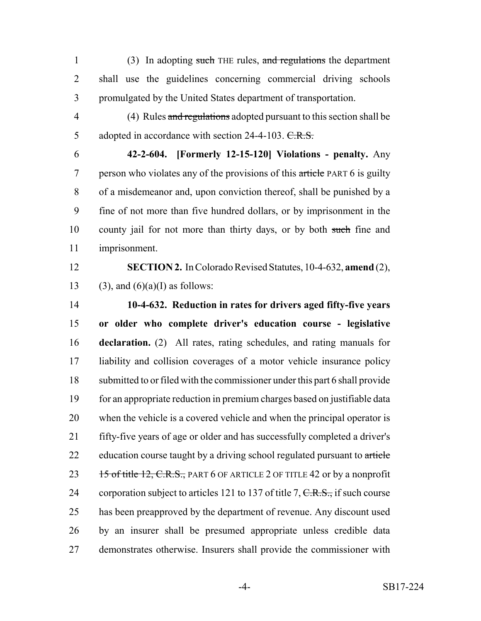1 (3) In adopting such THE rules, and regulations the department shall use the guidelines concerning commercial driving schools promulgated by the United States department of transportation.

4 (4) Rules and regulations adopted pursuant to this section shall be 5 adopted in accordance with section 24-4-103. C.R.S.

 **42-2-604. [Formerly 12-15-120] Violations - penalty.** Any 7 person who violates any of the provisions of this article PART 6 is guilty of a misdemeanor and, upon conviction thereof, shall be punished by a fine of not more than five hundred dollars, or by imprisonment in the 10 county jail for not more than thirty days, or by both such fine and imprisonment.

 **SECTION 2.** In Colorado Revised Statutes, 10-4-632, **amend** (2), 13 (3), and  $(6)(a)$ (I) as follows:

 **10-4-632. Reduction in rates for drivers aged fifty-five years or older who complete driver's education course - legislative declaration.** (2) All rates, rating schedules, and rating manuals for liability and collision coverages of a motor vehicle insurance policy submitted to or filed with the commissioner under this part 6 shall provide for an appropriate reduction in premium charges based on justifiable data when the vehicle is a covered vehicle and when the principal operator is fifty-five years of age or older and has successfully completed a driver's 22 education course taught by a driving school regulated pursuant to article 23 15 of title 12, C.R.S., PART 6 OF ARTICLE 2 OF TITLE 42 or by a nonprofit 24 corporation subject to articles 121 to 137 of title 7,  $C.R.S.,$  if such course has been preapproved by the department of revenue. Any discount used by an insurer shall be presumed appropriate unless credible data demonstrates otherwise. Insurers shall provide the commissioner with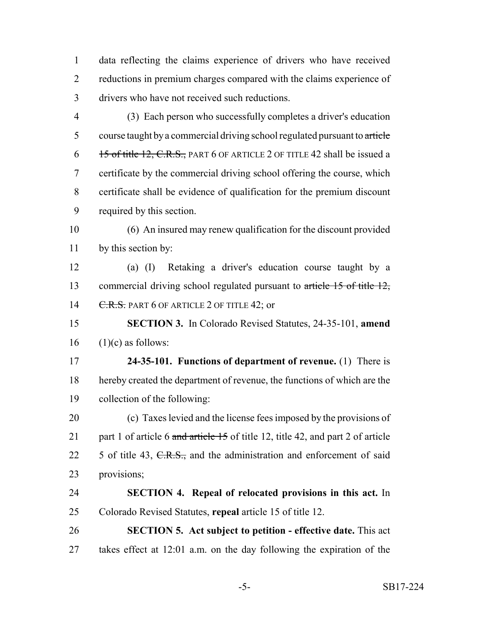data reflecting the claims experience of drivers who have received reductions in premium charges compared with the claims experience of drivers who have not received such reductions.

 (3) Each person who successfully completes a driver's education 5 course taught by a commercial driving school regulated pursuant to article 6 15 of title 12, C.R.S., PART 6 OF ARTICLE 2 OF TITLE 42 shall be issued a certificate by the commercial driving school offering the course, which certificate shall be evidence of qualification for the premium discount required by this section.

 (6) An insured may renew qualification for the discount provided by this section by:

 (a) (I) Retaking a driver's education course taught by a 13 commercial driving school regulated pursuant to article 15 of title 12, 14 C.R.S. PART 6 OF ARTICLE 2 OF TITLE 42; or

 **SECTION 3.** In Colorado Revised Statutes, 24-35-101, **amend** (1)(c) as follows:

 **24-35-101. Functions of department of revenue.** (1) There is hereby created the department of revenue, the functions of which are the collection of the following:

 (c) Taxes levied and the license fees imposed by the provisions of 21 part 1 of article 6 and article 15 of title 12, title 42, and part 2 of article 22 5 of title 43, C.R.S., and the administration and enforcement of said provisions;

 **SECTION 4. Repeal of relocated provisions in this act.** In Colorado Revised Statutes, **repeal** article 15 of title 12.

 **SECTION 5. Act subject to petition - effective date.** This act takes effect at 12:01 a.m. on the day following the expiration of the